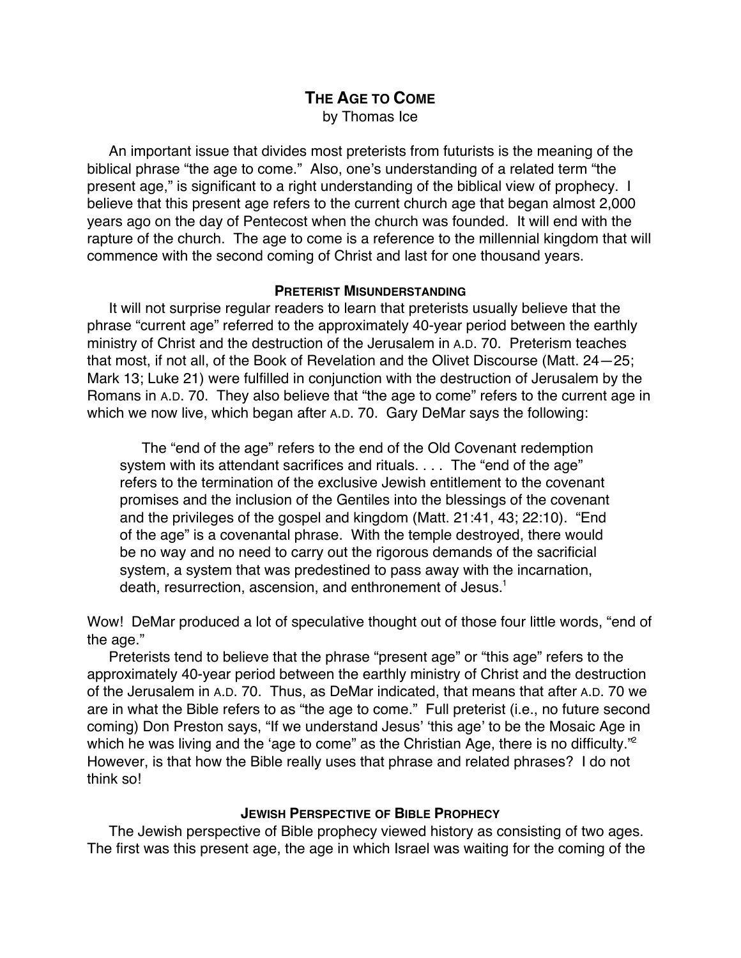# **THE AGE TO COME** by Thomas Ice

An important issue that divides most preterists from futurists is the meaning of the biblical phrase "the age to come." Also, one's understanding of a related term "the present age," is significant to a right understanding of the biblical view of prophecy. I believe that this present age refers to the current church age that began almost 2,000 years ago on the day of Pentecost when the church was founded. It will end with the rapture of the church. The age to come is a reference to the millennial kingdom that will commence with the second coming of Christ and last for one thousand years.

### **PRETERIST MISUNDERSTANDING**

It will not surprise regular readers to learn that preterists usually believe that the phrase "current age" referred to the approximately 40-year period between the earthly ministry of Christ and the destruction of the Jerusalem in A.D. 70. Preterism teaches that most, if not all, of the Book of Revelation and the Olivet Discourse (Matt. 24—25; Mark 13; Luke 21) were fulfilled in conjunction with the destruction of Jerusalem by the Romans in A.D. 70. They also believe that "the age to come" refers to the current age in which we now live, which began after A.D. 70. Gary DeMar says the following:

The "end of the age" refers to the end of the Old Covenant redemption system with its attendant sacrifices and rituals. . . . The "end of the age" refers to the termination of the exclusive Jewish entitlement to the covenant promises and the inclusion of the Gentiles into the blessings of the covenant and the privileges of the gospel and kingdom (Matt. 21:41, 43; 22:10). "End of the age" is a covenantal phrase. With the temple destroyed, there would be no way and no need to carry out the rigorous demands of the sacrificial system, a system that was predestined to pass away with the incarnation, death, resurrection, ascension, and enthronement of Jesus.<sup>1</sup>

Wow! DeMar produced a lot of speculative thought out of those four little words, "end of the age."

Preterists tend to believe that the phrase "present age" or "this age" refers to the approximately 40-year period between the earthly ministry of Christ and the destruction of the Jerusalem in A.D. 70. Thus, as DeMar indicated, that means that after A.D. 70 we are in what the Bible refers to as "the age to come." Full preterist (i.e., no future second coming) Don Preston says, "If we understand Jesus' 'this age' to be the Mosaic Age in which he was living and the 'age to come" as the Christian Age, there is no difficulty."<sup>2</sup> However, is that how the Bible really uses that phrase and related phrases? I do not think so!

## **JEWISH PERSPECTIVE OF BIBLE PROPHECY**

The Jewish perspective of Bible prophecy viewed history as consisting of two ages. The first was this present age, the age in which Israel was waiting for the coming of the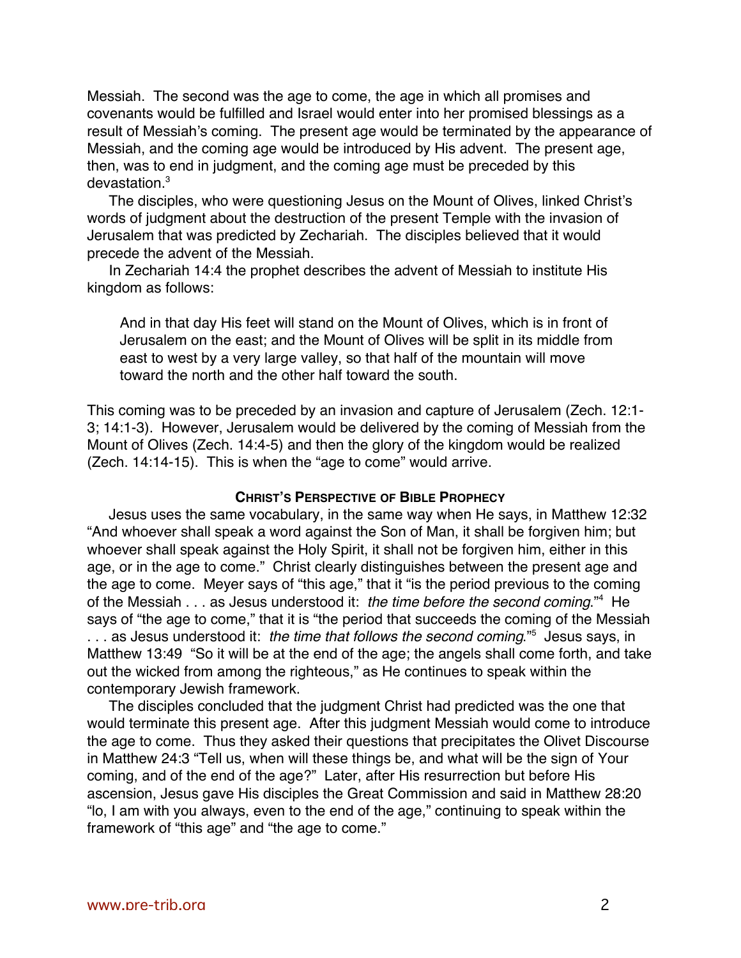Messiah. The second was the age to come, the age in which all promises and covenants would be fulfilled and Israel would enter into her promised blessings as a result of Messiah's coming. The present age would be terminated by the appearance of Messiah, and the coming age would be introduced by His advent. The present age, then, was to end in judgment, and the coming age must be preceded by this devastation.3

The disciples, who were questioning Jesus on the Mount of Olives, linked Christ's words of judgment about the destruction of the present Temple with the invasion of Jerusalem that was predicted by Zechariah. The disciples believed that it would precede the advent of the Messiah.

In Zechariah 14:4 the prophet describes the advent of Messiah to institute His kingdom as follows:

And in that day His feet will stand on the Mount of Olives, which is in front of Jerusalem on the east; and the Mount of Olives will be split in its middle from east to west by a very large valley, so that half of the mountain will move toward the north and the other half toward the south.

This coming was to be preceded by an invasion and capture of Jerusalem (Zech. 12:1- 3; 14:1-3). However, Jerusalem would be delivered by the coming of Messiah from the Mount of Olives (Zech. 14:4-5) and then the glory of the kingdom would be realized (Zech. 14:14-15). This is when the "age to come" would arrive.

#### **CHRIST'S PERSPECTIVE OF BIBLE PROPHECY**

Jesus uses the same vocabulary, in the same way when He says, in Matthew 12:32 "And whoever shall speak a word against the Son of Man, it shall be forgiven him; but whoever shall speak against the Holy Spirit, it shall not be forgiven him, either in this age, or in the age to come." Christ clearly distinguishes between the present age and the age to come. Meyer says of "this age," that it "is the period previous to the coming of the Messiah . . . as Jesus understood it: the time before the second coming."<sup>4</sup> He says of "the age to come," that it is "the period that succeeds the coming of the Messiah ... as Jesus understood it: the time that follows the second coming."<sup>5</sup> Jesus says, in Matthew 13:49 "So it will be at the end of the age; the angels shall come forth, and take out the wicked from among the righteous," as He continues to speak within the contemporary Jewish framework.

The disciples concluded that the judgment Christ had predicted was the one that would terminate this present age. After this judgment Messiah would come to introduce the age to come. Thus they asked their questions that precipitates the Olivet Discourse in Matthew 24:3 "Tell us, when will these things be, and what will be the sign of Your coming, and of the end of the age?" Later, after His resurrection but before His ascension, Jesus gave His disciples the Great Commission and said in Matthew 28:20 "lo, I am with you always, even to the end of the age," continuing to speak within the framework of "this age" and "the age to come."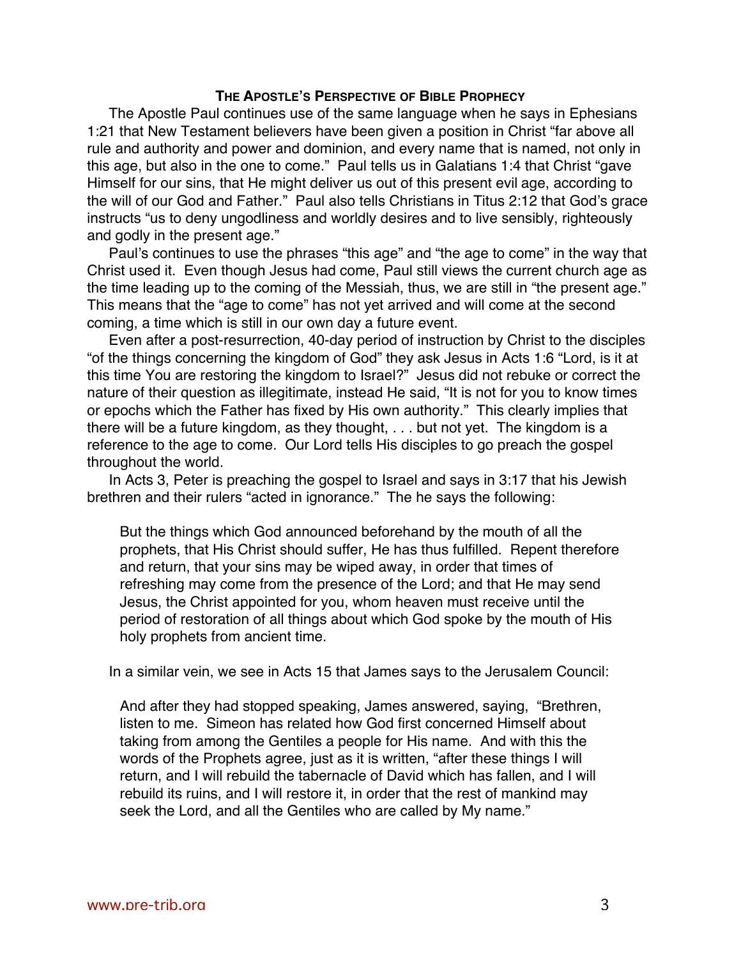### **THE APOSTLE'S PERSPECTIVE OF BIBLE PROPHECY**

The Apostle Paul continues use of the same language when he says in Ephesians 1:21 that New Testament believers have been given a position in Christ "far above all rule and authority and power and dominion, and every name that is named, not only in this age, but also in the one to come." Paul tells us in Galatians 1:4 that Christ "gave Himself for our sins, that He might deliver us out of this present evil age, according to the will of our God and Father." Paul also tells Christians in Titus 2:12 that God's grace instructs "us to deny ungodliness and worldly desires and to live sensibly, righteously and godly in the present age."

Paul's continues to use the phrases "this age" and "the age to come" in the way that Christ used it. Even though Jesus had come, Paul still views the current church age as the time leading up to the coming of the Messiah, thus, we are still in "the present age." This means that the "age to come" has not yet arrived and will come at the second coming, a time which is still in our own day a future event.

Even after a post-resurrection, 40-day period of instruction by Christ to the disciples "of the things concerning the kingdom of God" they ask Jesus in Acts 1:6 "Lord, is it at this time You are restoring the kingdom to Israel?" Jesus did not rebuke or correct the nature of their question as illegitimate, instead He said, "It is not for you to know times or epochs which the Father has fixed by His own authority." This clearly implies that there will be a future kingdom, as they thought, . . . but not yet. The kingdom is a reference to the age to come. Our Lord tells His disciples to go preach the gospel throughout the world.

In Acts 3, Peter is preaching the gospel to Israel and says in 3:17 that his Jewish brethren and their rulers "acted in ignorance." The he says the following:

But the things which God announced beforehand by the mouth of all the prophets, that His Christ should suffer, He has thus fulfilled. Repent therefore and return, that your sins may be wiped away, in order that times of refreshing may come from the presence of the Lord; and that He may send Jesus, the Christ appointed for you, whom heaven must receive until the period of restoration of all things about which God spoke by the mouth of His holy prophets from ancient time.

In a similar vein, we see in Acts 15 that James says to the Jerusalem Council:

And after they had stopped speaking, James answered, saying, "Brethren, listen to me. Simeon has related how God first concerned Himself about taking from among the Gentiles a people for His name. And with this the words of the Prophets agree, just as it is written, "after these things I will return, and I will rebuild the tabernacle of David which has fallen, and I will rebuild its ruins, and I will restore it, in order that the rest of mankind may seek the Lord, and all the Gentiles who are called by My name."